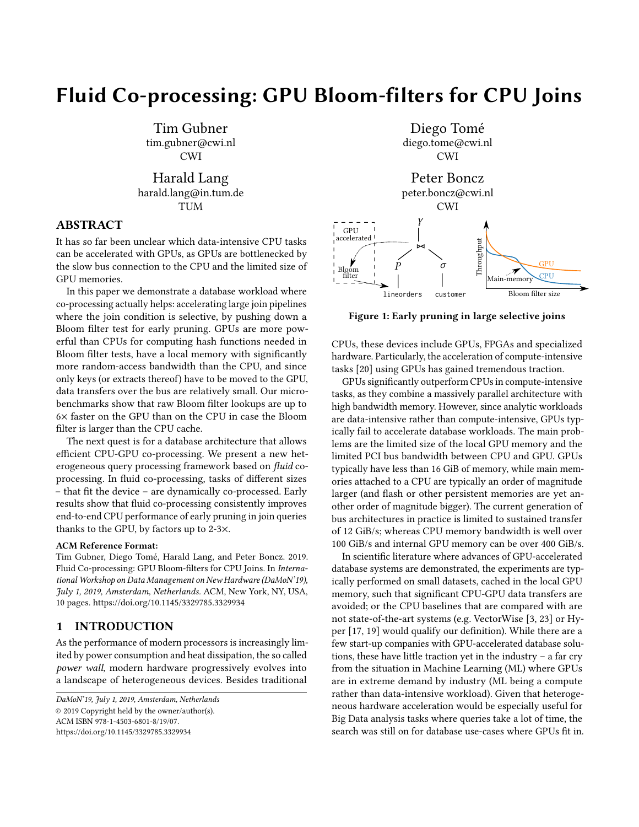# Fluid Co-processing: GPU Bloom-filters for CPU Joins

Tim Gubner tim.gubner@cwi.nl CWI

Harald Lang harald.lang@in.tum.de TUM

# ABSTRACT

It has so far been unclear which data-intensive CPU tasks can be accelerated with GPUs, as GPUs are bottlenecked by the slow bus connection to the CPU and the limited size of GPU memories.

In this paper we demonstrate a database workload where co-processing actually helps: accelerating large join pipelines where the join condition is selective, by pushing down a Bloom filter test for early pruning. GPUs are more powerful than CPUs for computing hash functions needed in Bloom filter tests, have a local memory with significantly more random-access bandwidth than the CPU, and since only keys (or extracts thereof) have to be moved to the GPU, data transfers over the bus are relatively small. Our microbenchmarks show that raw Bloom filter lookups are up to 6× faster on the GPU than on the CPU in case the Bloom filter is larger than the CPU cache.

The next quest is for a database architecture that allows efficient CPU-GPU co-processing. We present a new heterogeneous query processing framework based on fluid coprocessing. In fluid co-processing, tasks of different sizes – that fit the device – are dynamically co-processed. Early results show that fluid co-processing consistently improves end-to-end CPU performance of early pruning in join queries thanks to the GPU, by factors up to 2-3×.

#### ACM Reference Format:

Tim Gubner, Diego Tomé, Harald Lang, and Peter Boncz. 2019. Fluid Co-processing: GPU Bloom-filters for CPU Joins. In International Workshop on Data Management on New Hardware (DaMoN'19), July 1, 2019, Amsterdam, Netherlands. ACM, New York, NY, USA, [10](#page-9-0) pages.<https://doi.org/10.1145/3329785.3329934>

# 1 INTRODUCTION

As the performance of modern processors is increasingly limited by power consumption and heat dissipation, the so called power wall, modern hardware progressively evolves into a landscape of heterogeneous devices. Besides traditional

<span id="page-0-0"></span>

Figure 1: Early pruning in large selective joins

CPUs, these devices include GPUs, FPGAs and specialized hardware. Particularly, the acceleration of compute-intensive tasks [\[20\]](#page-9-1) using GPUs has gained tremendous traction.

GPUs significantly outperform CPUs in compute-intensive tasks, as they combine a massively parallel architecture with high bandwidth memory. However, since analytic workloads are data-intensive rather than compute-intensive, GPUs typically fail to accelerate database workloads. The main problems are the limited size of the local GPU memory and the limited PCI bus bandwidth between CPU and GPU. GPUs typically have less than 16 GiB of memory, while main memories attached to a CPU are typically an order of magnitude larger (and flash or other persistent memories are yet another order of magnitude bigger). The current generation of bus architectures in practice is limited to sustained transfer of 12 GiB/s; whereas CPU memory bandwidth is well over 100 GiB/s and internal GPU memory can be over 400 GiB/s.

In scientific literature where advances of GPU-accelerated database systems are demonstrated, the experiments are typically performed on small datasets, cached in the local GPU memory, such that significant CPU-GPU data transfers are avoided; or the CPU baselines that are compared with are not state-of-the-art systems (e.g. VectorWise [\[3,](#page-9-2) [23\]](#page-9-3) or Hyper [\[17,](#page-9-4) [19\]](#page-9-5) would qualify our definition). While there are a few start-up companies with GPU-accelerated database solutions, these have little traction yet in the industry – a far cry from the situation in Machine Learning (ML) where GPUs are in extreme demand by industry (ML being a compute rather than data-intensive workload). Given that heterogeneous hardware acceleration would be especially useful for Big Data analysis tasks where queries take a lot of time, the search was still on for database use-cases where GPUs fit in.

DaMoN'19, July 1, 2019, Amsterdam, Netherlands © 2019 Copyright held by the owner/author(s). ACM ISBN 978-1-4503-6801-8/19/07. <https://doi.org/10.1145/3329785.3329934>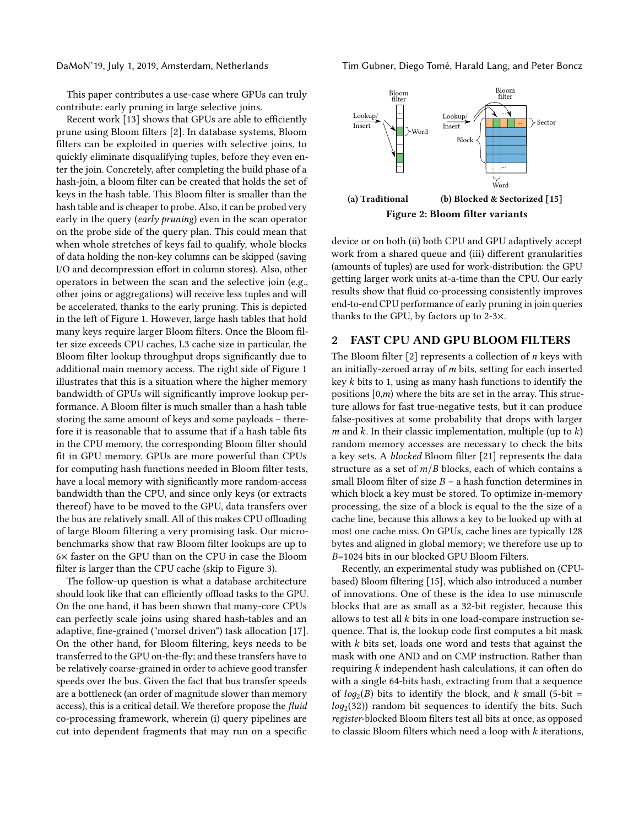DaMoN'19, July 1, 2019, Amsterdam, Netherlands Tim Gubner, Diego Tomé, Harald Lang, and Peter Boncz

This paper contributes a use-case where GPUs can truly contribute: early pruning in large selective joins.

Recent work [\[13\]](#page-9-6) shows that GPUs are able to efficiently prune using Bloom filters [\[2\]](#page-9-7). In database systems, Bloom filters can be exploited in queries with selective joins, to quickly eliminate disqualifying tuples, before they even enter the join. Concretely, after completing the build phase of a hash-join, a bloom filter can be created that holds the set of keys in the hash table. This Bloom filter is smaller than the hash table and is cheaper to probe. Also, it can be probed very early in the query (early pruning) even in the scan operator on the probe side of the query plan. This could mean that when whole stretches of keys fail to qualify, whole blocks of data holding the non-key columns can be skipped (saving I/O and decompression effort in column stores). Also, other operators in between the scan and the selective join (e.g., other joins or aggregations) will receive less tuples and will be accelerated, thanks to the early pruning. This is depicted in the left of Figure [1.](#page-0-0) However, large hash tables that hold many keys require larger Bloom filters. Once the Bloom filter size exceeds CPU caches, L3 cache size in particular, the Bloom filter lookup throughput drops significantly due to additional main memory access. The right side of Figure [1](#page-0-0) illustrates that this is a situation where the higher memory bandwidth of GPUs will significantly improve lookup performance. A Bloom filter is much smaller than a hash table storing the same amount of keys and some payloads – therefore it is reasonable that to assume that if a hash table fits in the CPU memory, the corresponding Bloom filter should fit in GPU memory. GPUs are more powerful than CPUs for computing hash functions needed in Bloom filter tests, have a local memory with significantly more random-access bandwidth than the CPU, and since only keys (or extracts thereof) have to be moved to the GPU, data transfers over the bus are relatively small. All of this makes CPU offloading of large Bloom filtering a very promising task. Our microbenchmarks show that raw Bloom filter lookups are up to 6× faster on the GPU than on the CPU in case the Bloom filter is larger than the CPU cache (skip to Figure [3\)](#page-2-0).

The follow-up question is what a database architecture should look like that can efficiently offload tasks to the GPU. On the one hand, it has been shown that many-core CPUs can perfectly scale joins using shared hash-tables and an adaptive, fine-grained ("morsel driven") task allocation [\[17\]](#page-9-4). On the other hand, for Bloom filtering, keys needs to be transferred to the GPU on-the-fly; and these transfers have to be relatively coarse-grained in order to achieve good transfer speeds over the bus. Given the fact that bus transfer speeds are a bottleneck (an order of magnitude slower than memory access), this is a critical detail. We therefore propose the fluid co-processing framework, wherein (i) query pipelines are cut into dependent fragments that may run on a specific

<span id="page-1-0"></span>

device or on both (ii) both CPU and GPU adaptively accept work from a shared queue and (iii) different granularities (amounts of tuples) are used for work-distribution: the GPU getting larger work units at-a-time than the CPU. Our early results show that fluid co-processing consistently improves end-to-end CPU performance of early pruning in join queries thanks to the GPU, by factors up to 2-3×.

### 2 FAST CPU AND GPU BLOOM FILTERS

The Bloom filter  $[2]$  represents a collection of  $n$  keys with an initially-zeroed array of m bits, setting for each inserted key  $k$  bits to 1, using as many hash functions to identify the positions  $[0,m)$  where the bits are set in the array. This structure allows for fast true-negative tests, but it can produce false-positives at some probability that drops with larger  $m$  and  $k$ . In their classic implementation, multiple (up to  $k$ ) random memory accesses are necessary to check the bits a key sets. A blocked Bloom filter [\[21\]](#page-9-9) represents the data structure as a set of  $m/B$  blocks, each of which contains a small Bloom filter of size  $B - a$  hash function determines in which block a key must be stored. To optimize in-memory processing, the size of a block is equal to the the size of a cache line, because this allows a key to be looked up with at most one cache miss. On GPUs, cache lines are typically 128 bytes and aligned in global memory; we therefore use up to B=1024 bits in our blocked GPU Bloom Filters.

Recently, an experimental study was published on (CPUbased) Bloom filtering [\[15\]](#page-9-8), which also introduced a number of innovations. One of these is the idea to use minuscule blocks that are as small as a 32-bit register, because this allows to test all  $k$  bits in one load-compare instruction sequence. That is, the lookup code first computes a bit mask with  $k$  bits set, loads one word and tests that against the mask with one AND and on CMP instruction. Rather than requiring k independent hash calculations, it can often do with a single 64-bits hash, extracting from that a sequence of  $log_2(B)$  bits to identify the block, and k small (5-bit =  $log<sub>2</sub>(32)$ ) random bit sequences to identify the bits. Such register-blocked Bloom filters test all bits at once, as opposed to classic Bloom filters which need a loop with  $k$  iterations,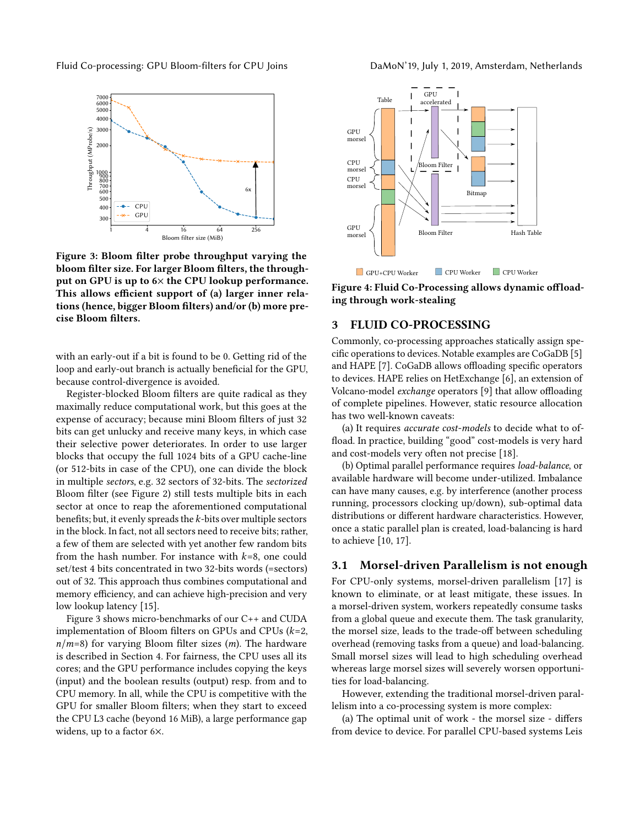<span id="page-2-0"></span>



Figure 3: Bloom filter probe throughput varying the bloom filter size. For larger Bloom filters, the throughput on GPU is up to 6× the CPU lookup performance. This allows efficient support of (a) larger inner relations (hence, bigger Bloom filters) and/or (b) more precise Bloom filters.

with an early-out if a bit is found to be 0. Getting rid of the loop and early-out branch is actually beneficial for the GPU, because control-divergence is avoided.

Register-blocked Bloom filters are quite radical as they maximally reduce computational work, but this goes at the expense of accuracy; because mini Bloom filters of just 32 bits can get unlucky and receive many keys, in which case their selective power deteriorates. In order to use larger blocks that occupy the full 1024 bits of a GPU cache-line (or 512-bits in case of the CPU), one can divide the block in multiple sectors, e.g. 32 sectors of 32-bits. The sectorized Bloom filter (see Figure [2\)](#page-1-0) still tests multiple bits in each sector at once to reap the aforementioned computational benefits; but, it evenly spreads the k-bits over multiple sectors in the block. In fact, not all sectors need to receive bits; rather, a few of them are selected with yet another few random bits from the hash number. For instance with  $k=8$ , one could set/test 4 bits concentrated in two 32-bits words (=sectors) out of 32. This approach thus combines computational and memory efficiency, and can achieve high-precision and very low lookup latency [\[15\]](#page-9-8).

Figure [3](#page-2-0) shows micro-benchmarks of our C++ and CUDA implementation of Bloom filters on GPUs and CPUs  $(k=2, 1)$  $n/m=8$ ) for varying Bloom filter sizes (*m*). The hardware is described in Section 4. For fairness, the CPU uses all its cores; and the GPU performance includes copying the keys (input) and the boolean results (output) resp. from and to CPU memory. In all, while the CPU is competitive with the GPU for smaller Bloom filters; when they start to exceed the CPU L3 cache (beyond 16 MiB), a large performance gap widens, up to a factor 6×.

<span id="page-2-1"></span>

Figure 4: Fluid Co-Processing allows dynamic offloading through work-stealing

#### 3 FLUID CO-PROCESSING

Commonly, co-processing approaches statically assign specific operations to devices. Notable examples are CoGaDB [\[5\]](#page-9-10) and HAPE [\[7\]](#page-9-11). CoGaDB allows offloading specific operators to devices. HAPE relies on HetExchange [\[6\]](#page-9-12), an extension of Volcano-model exchange operators [\[9\]](#page-9-13) that allow offloading of complete pipelines. However, static resource allocation has two well-known caveats:

(a) It requires accurate cost-models to decide what to offload. In practice, building "good" cost-models is very hard and cost-models very often not precise [\[18\]](#page-9-14).

(b) Optimal parallel performance requires load-balance, or available hardware will become under-utilized. Imbalance can have many causes, e.g. by interference (another process running, processors clocking up/down), sub-optimal data distributions or different hardware characteristics. However, once a static parallel plan is created, load-balancing is hard to achieve [\[10,](#page-9-15) [17\]](#page-9-4).

### 3.1 Morsel-driven Parallelism is not enough

For CPU-only systems, morsel-driven parallelism [\[17\]](#page-9-4) is known to eliminate, or at least mitigate, these issues. In a morsel-driven system, workers repeatedly consume tasks from a global queue and execute them. The task granularity, the morsel size, leads to the trade-off between scheduling overhead (removing tasks from a queue) and load-balancing. Small morsel sizes will lead to high scheduling overhead whereas large morsel sizes will severely worsen opportunities for load-balancing.

However, extending the traditional morsel-driven parallelism into a co-processing system is more complex:

(a) The optimal unit of work - the morsel size - differs from device to device. For parallel CPU-based systems Leis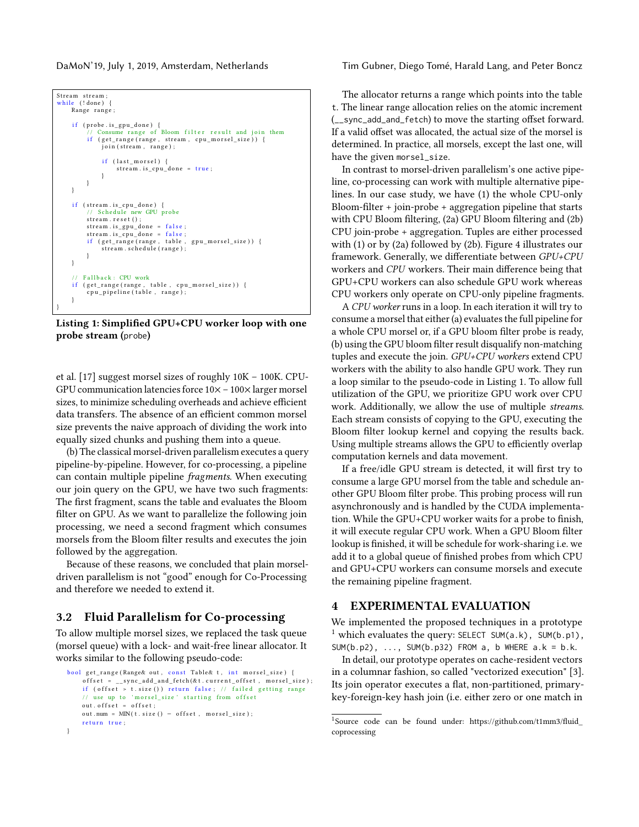DaMoN'19, July 1, 2019, Amsterdam, Netherlands Tim Gubner, Diego Tomé, Harald Lang, and Peter Boncz

```
\mbox{Stream} \mbox{stream}while (!done)
     Range range:
     if (probe.is\_gpu\_done) {
              Consume range of Bloom filter result and join them
          if ( get_range ( range, stream, cpu_morsel_size ) ) {
               join (stream, range);
               if (last morsel) {
                    stream.is\_cpu\_done = true;}
          }
     }
     if (stream. is cpu done) {
          // Schedule new GPU probe
          \verb|stream|. r e s e t ( ) ;
           stream.is_gpu_done = false;<br>stream.is_cpu_done = false;
           if (get_range(range, table, gpu_morsel_size)) {<br>stream.schedule(range);
          }
     }
     // Fallback: CPU work<br>if (get range(range)
        (get \ range(range, table, cnu \ more \ size))cpu_pipeline (table, range);
     }
```
Listing 1: Simplified GPU+CPU worker loop with one probe stream (probe)

et al. [\[17\]](#page-9-4) suggest morsel sizes of roughly 10K – 100K. CPU-GPU communication latencies force 10× – 100× larger morsel sizes, to minimize scheduling overheads and achieve efficient data transfers. The absence of an efficient common morsel size prevents the naive approach of dividing the work into equally sized chunks and pushing them into a queue.

(b) The classical morsel-driven parallelism executes a query pipeline-by-pipeline. However, for co-processing, a pipeline can contain multiple pipeline fragments. When executing our join query on the GPU, we have two such fragments: The first fragment, scans the table and evaluates the Bloom filter on GPU. As we want to parallelize the following join processing, we need a second fragment which consumes morsels from the Bloom filter results and executes the join followed by the aggregation.

Because of these reasons, we concluded that plain morseldriven parallelism is not "good" enough for Co-Processing and therefore we needed to extend it.

### 3.2 Fluid Parallelism for Co-processing

To allow multiple morsel sizes, we replaced the task queue (morsel queue) with a lock- and wait-free linear allocator. It works similar to the following pseudo-code:

```
bool get_range (Range& out, const Table& t, int morsel_size) {
    offset = __ sync_add_and_fetch(&t.current_offset, morsel_size);
    if ( offset > t. size ( ) ) return false; // failed getting range
    \frac{1}{2} use up to 'morsel_size' starting from offset
    out. offset = offset :
    out . num = MIN(t . size() - offset , more1_size);return true:
}
```
The allocator returns a range which points into the table t. The linear range allocation relies on the atomic increment (\_\_sync\_add\_and\_fetch) to move the starting offset forward. If a valid offset was allocated, the actual size of the morsel is determined. In practice, all morsels, except the last one, will have the given morsel\_size.

In contrast to morsel-driven parallelism's one active pipeline, co-processing can work with multiple alternative pipelines. In our case study, we have (1) the whole CPU-only Bloom-filter + join-probe + aggregation pipeline that starts with CPU Bloom filtering, (2a) GPU Bloom filtering and (2b) CPU join-probe + aggregation. Tuples are either processed with (1) or by (2a) followed by (2b). Figure [4](#page-2-1) illustrates our framework. Generally, we differentiate between GPU+CPU workers and CPU workers. Their main difference being that GPU+CPU workers can also schedule GPU work whereas CPU workers only operate on CPU-only pipeline fragments.

A CPU worker runs in a loop. In each iteration it will try to consume a morsel that either (a) evaluates the full pipeline for a whole CPU morsel or, if a GPU bloom filter probe is ready, (b) using the GPU bloom filter result disqualify non-matching tuples and execute the join. GPU+CPU workers extend CPU workers with the ability to also handle GPU work. They run a loop similar to the pseudo-code in Listing [1.](#page-3-0) To allow full utilization of the GPU, we prioritize GPU work over CPU work. Additionally, we allow the use of multiple streams. Each stream consists of copying to the GPU, executing the Bloom filter lookup kernel and copying the results back. Using multiple streams allows the GPU to efficiently overlap computation kernels and data movement.

If a free/idle GPU stream is detected, it will first try to consume a large GPU morsel from the table and schedule another GPU Bloom filter probe. This probing process will run asynchronously and is handled by the CUDA implementation. While the GPU+CPU worker waits for a probe to finish, it will execute regular CPU work. When a GPU Bloom filter lookup is finished, it will be schedule for work-sharing i.e. we add it to a global queue of finished probes from which CPU and GPU+CPU workers can consume morsels and execute the remaining pipeline fragment.

# 4 EXPERIMENTAL EVALUATION

We implemented the proposed techniques in a prototype  $1$  which evaluates the query: SELECT SUM(a.k), SUM(b.p1),  $SUM(b.p2), ..., SUM(b.p32)$  FROM a, b WHERE  $a.k = b.k$ .

In detail, our prototype operates on cache-resident vectors in a columnar fashion, so called "vectorized execution" [\[3\]](#page-9-2). Its join operator executes a flat, non-partitioned, primarykey-foreign-key hash join (i.e. either zero or one match in

<span id="page-3-1"></span><sup>1</sup>Source code can be found under: [https://github.com/t1mm3/fluid\\_](https://github.com/t1mm3/fluid_coprocessing) [coprocessing](https://github.com/t1mm3/fluid_coprocessing)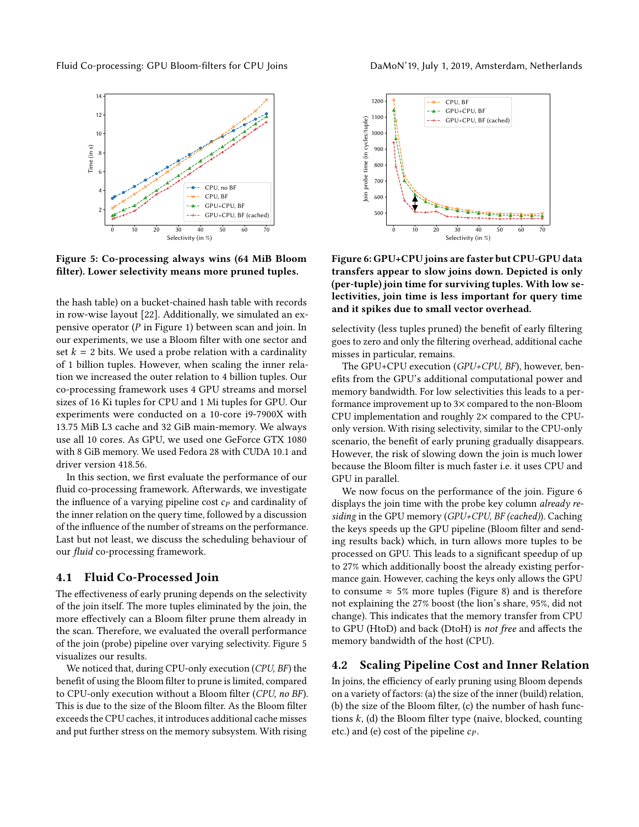<span id="page-4-0"></span>



Figure 5: Co-processing always wins (64 MiB Bloom filter). Lower selectivity means more pruned tuples.

the hash table) on a bucket-chained hash table with records in row-wise layout [\[22\]](#page-9-16). Additionally, we simulated an expensive operator (P in Figure [1\)](#page-0-0) between scan and join. In our experiments, we use a Bloom filter with one sector and set  $k = 2$  bits. We used a probe relation with a cardinality of 1 billion tuples. However, when scaling the inner relation we increased the outer relation to 4 billion tuples. Our co-processing framework uses 4 GPU streams and morsel sizes of 16 Ki tuples for CPU and 1 Mi tuples for GPU. Our experiments were conducted on a 10-core i9-7900X with 13.75 MiB L3 cache and 32 GiB main-memory. We always use all 10 cores. As GPU, we used one GeForce GTX 1080 with 8 GiB memory. We used Fedora 28 with CUDA 10.1 and driver version 418.56.

In this section, we first evaluate the performance of our fluid co-processing framework. Afterwards, we investigate the influence of a varying pipeline cost  $c_p$  and cardinality of the inner relation on the query time, followed by a discussion of the influence of the number of streams on the performance. Last but not least, we discuss the scheduling behaviour of our fluid co-processing framework.

#### <span id="page-4-2"></span>4.1 Fluid Co-Processed Join

The effectiveness of early pruning depends on the selectivity of the join itself. The more tuples eliminated by the join, the more effectively can a Bloom filter prune them already in the scan. Therefore, we evaluated the overall performance of the join (probe) pipeline over varying selectivity. Figure [5](#page-4-0) visualizes our results.

We noticed that, during CPU-only execution (CPU, BF) the benefit of using the Bloom filter to prune is limited, compared to CPU-only execution without a Bloom filter (CPU, no BF). This is due to the size of the Bloom filter. As the Bloom filter exceeds the CPU caches, it introduces additional cache misses and put further stress on the memory subsystem. With rising

<span id="page-4-1"></span>

Figure 6: GPU+CPU joins are faster but CPU-GPU data transfers appear to slow joins down. Depicted is only (per-tuple) join time for surviving tuples. With low selectivities, join time is less important for query time and it spikes due to small vector overhead.

selectivity (less tuples pruned) the benefit of early filtering goes to zero and only the filtering overhead, additional cache misses in particular, remains.

The GPU+CPU execution (GPU+CPU, BF), however, benefits from the GPU's additional computational power and memory bandwidth. For low selectivities this leads to a performance improvement up to 3× compared to the non-Bloom CPU implementation and roughly 2× compared to the CPUonly version. With rising selectivity, similar to the CPU-only scenario, the benefit of early pruning gradually disappears. However, the risk of slowing down the join is much lower because the Bloom filter is much faster i.e. it uses CPU and GPU in parallel.

We now focus on the performance of the join. Figure [6](#page-4-1) displays the join time with the probe key column *already re*siding in the GPU memory (GPU+CPU, BF (cached)). Caching the keys speeds up the GPU pipeline (Bloom filter and sending results back) which, in turn allows more tuples to be processed on GPU. This leads to a significant speedup of up to 27% which additionally boost the already existing performance gain. However, caching the keys only allows the GPU to consume  $\approx$  5% more tuples (Figure [8\)](#page-6-0) and is therefore not explaining the 27% boost (the lion's share, 95%, did not change). This indicates that the memory transfer from CPU to GPU (HtoD) and back (DtoH) is not free and affects the memory bandwidth of the host (CPU).

#### 4.2 Scaling Pipeline Cost and Inner Relation

In joins, the efficiency of early pruning using Bloom depends on a variety of factors: (a) the size of the inner (build) relation, (b) the size of the Bloom filter, (c) the number of hash functions  $k$ , (d) the Bloom filter type (naive, blocked, counting etc.) and (e) cost of the pipeline  $c_P$ .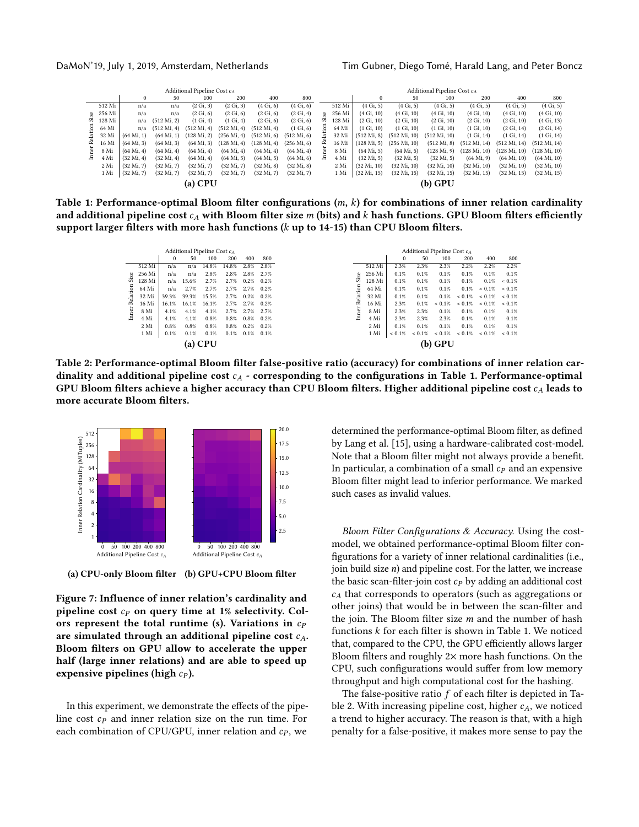<span id="page-5-0"></span>

|      |                                                                          |                       |                        | Additional Pipeline Cost $c_A$ |                        |                        |                       |   | Additional Pipeline Cost $c_A$ |                        |                         |                        |                         |                        |                         |  |  |  |  |
|------|--------------------------------------------------------------------------|-----------------------|------------------------|--------------------------------|------------------------|------------------------|-----------------------|---|--------------------------------|------------------------|-------------------------|------------------------|-------------------------|------------------------|-------------------------|--|--|--|--|
|      |                                                                          | $\Omega$              | 50                     | 100                            | 200                    | 400                    | 800                   |   |                                | $\mathbf{0}$           | 50                      | 100                    | 200                     | 400                    | 800                     |  |  |  |  |
|      | 512 Mi                                                                   | n/a                   | n/a                    | (2 Gi, 3)                      | (2 Gi, 3)              | (4 Gi, 6)              | (4 Gi, 6)             |   | 512 Mi                         | (4 Gi, 5)              | (4 Gi, 5)               | (4 Gi, 5)              | (4 Gi, 5)               | (4 Gi, 5)              | (4 Gi, 5)               |  |  |  |  |
|      | $\begin{array}{cc}\n & 256 \text{ Mi} \\  & 128 \text{ Mi}\n\end{array}$ | n/a                   | n/a                    | (2 Gi, 6)                      | (2 Gi, 6)              | (2 Gi, 6)              | (2 Gi, 4)             | સ | 256 Mi                         | (4 Gi, 10)             | (4 Gi. 10)              | (4 Gi. 10)             | (4 Gi, 10)              | (4 Gi, 10)             | (4 Gi, 10)              |  |  |  |  |
|      | 128 Mi                                                                   | n/a                   | $(512 \text{ Mi. } 2)$ | (1 Gi. 4)                      | (1 Gi, 4)              | (2 Gi, 6)              | (2 Gi, 6)             | s | 128 Mi                         | (2 Gi, 10)             | (2 Gi, 10)              | (2 Gi. 10)             | (2 Gi, 10)              | (2 Gi, 10)             | (4 Gi, 13)              |  |  |  |  |
|      | 64 Mi                                                                    | n/a                   | $(512 \text{ Mi. } 4)$ | $(512 \text{ Mi}, 4)$          | $(512 \text{ Mi}, 4)$  | $(512 \text{ Mi}, 4)$  | (1 Gi, 6)             |   | 64 Mi                          | $(1 \text{ Gi}, 10)$   | $(1 \text{ Gi. } 10)$   | (1 Gi. 10)             | (1 Gi. 10)              | (2 Gi, 14)             | (2 Gi, 14)              |  |  |  |  |
| Rela | 32 Mi                                                                    | $(64 \text{ Mi. } 1)$ | $(64 \text{ Mi}, 1)$   | $(128 \text{ Mi}, 2)$          | $(256 \text{ Mi}, 4)$  | $(512 \text{ Mi}, 6)$  | $(512 \text{ Mi}, 6)$ |   | 32 Mi                          | $(512 \text{ Mi. } 8)$ | $(512 \text{ Mi. } 10)$ | $(512 \text{ Mi}, 10)$ | (1 Gi, 14)              | (1 Gi, 14)             | (1 Gi, 14)              |  |  |  |  |
|      | 16 Mi                                                                    | $(64 \text{ Mi. } 3)$ | $(64 \text{ Mi}, 3)$   | $(64 \text{ Mi}, 3)$           | $(128 \text{ Mi. } 4)$ | $(128 \text{ Mi. } 4)$ | $(256 \text{ Mi}, 6)$ | ∝ | 16 Mi                          | (128 Mi. 5)            | $(256 \text{ Mi. } 10)$ | $(512 \text{ Mi. } 8)$ | $(512 \text{ Mi. } 14)$ | $(512 \text{ Mi}, 14)$ | $(512 \text{ Mi. } 14)$ |  |  |  |  |
|      | 8 Mi                                                                     | $(64 \text{ Mi}, 4)$  | $(64 \text{ Mi}, 4)$   | $(64 \text{ Mi}, 4)$           | $(64 \text{ Mi}, 4)$   | $(64 \text{ Mi. } 4)$  | $(64 \text{ Mi}, 4)$  |   | 8 Mi                           | $(64 \text{ Mi}, 5)$   | $(64 \text{ Mi}, 5)$    | (128 Mi. 9)            | $(128 \text{ Mi. } 10)$ | (128 Mi. 10)           | $(128 \text{ Mi}, 10)$  |  |  |  |  |
| Ĕ    | 4 Mi                                                                     | $(32 \text{ Mi. } 4)$ | $(32 \text{ Mi}, 4)$   | $(64 \text{ Mi. } 4)$          | $(64 \text{ Mi}, 5)$   | $(64 \text{ Mi}, 5)$   | $(64 \text{ Mi}, 6)$  | ∸ | 4 Mi                           | $(32 \text{ Mi}, 5)$   | $(32 \text{ Mi}, 5)$    | $(32 \text{ Mi}, 5)$   | $(64 \text{ Mi}, 9)$    | $(64 \text{ Mi. } 10)$ | $(64 \text{ Mi}, 10)$   |  |  |  |  |
|      | 2 Mi                                                                     | $(32 \text{ Mi. } 7)$ | $(32 \text{ Mi}, 7)$   | $(32 \text{ Mi}, 7)$           | $(32 \text{ Mi}, 7)$   | (32 Mi. 8)             | $(32 \text{ Mi}, 8)$  |   | 2 Mi                           | $(32 \text{ Mi. } 10)$ | $(32 \text{ Mi. } 10)$  | $(32 \text{ Mi. } 10)$ | $(32 \text{ Mi}, 10)$   | $(32 \text{ Mi. } 10)$ | $(32 \text{ Mi}, 10)$   |  |  |  |  |
|      | 1 Mi                                                                     | $(32 \text{ Mi}, 7)$  | $(32 \text{ Mi}, 7)$   | $(32 \text{ Mi}, 7)$           | $(32 \text{ Mi}, 7)$   | (32 Mi, 7)             | (32 Mi, 7)            |   | 1 Mi                           | $(32 \text{ Mi}, 15)$  | $(32 \text{ Mi. } 15)$  | (32 Mi. 15)            | $(32 \text{ Mi}, 15)$   | $(32 \text{ Mi}, 15)$  | $(32 \text{ Mi}, 15)$   |  |  |  |  |
|      |                                                                          |                       |                        | (a) CPU                        | (b) GPU                |                        |                       |   |                                |                        |                         |                        |                         |                        |                         |  |  |  |  |

<span id="page-5-1"></span>Table 1: Performance-optimal Bloom filter configurations  $(m, k)$  for combinations of inner relation cardinality and additional pipeline cost  $c_A$  with Bloom filter size m (bits) and k hash functions. GPU Bloom filters efficiently support larger filters with more hash functions  $(k \text{ up to } 14\text{-}15)$  than CPU Bloom filters.

|         |        |              |       | Additional Pipeline Cost $c_A$ |       |                 |      |
|---------|--------|--------------|-------|--------------------------------|-------|-----------------|------|
|         |        | $\mathbf{0}$ | 50    | 100                            | 200   | 400             | 800  |
|         | 512 Mi | n/a          | n/a   | 14.8%                          | 14.8% | 2.8%            | 2.8% |
| Size    | 256 Mi | n/a          | n/a   | 2.8%                           | 2.8%  | 2.8%            | 2.7% |
|         | 128 Mi | n/a          | 15.6% | 2.7%                           | 2.7%  | $0.2\%$         | 0.2% |
| elation | 64 Mi  | n/a          | 2.7%  | 2.7%                           | 2.7%  | $2.7\%$         | 0.2% |
|         | 32 Mi  | 39.3%        | 39.3% | 15.5%                          | 2.7%  | $0.2\%$         | 0.2% |
| ≃       | 16 Mi  | 16.1%        | 16.1% | 16.1%                          | 2.7%  | 2.7%            | 0.2% |
| Inner   | 8 Mi   | 4.1%         | 4.1%  | 4.1%                           | 2.7%  | 2.7%            | 2.7% |
|         | 4 Mi   | 4.1%         | 4.1%  | 0.8%                           | 0.8%  | $0.8\%$         | 0.2% |
|         | 2 Mi   | 0.8%         | 0.8%  | 0.8%                           | 0.8%  | $0.2\%$         | 0.2% |
|         | 1 Mi   | 0.1%         | 0.1%  | 0.1%                           | 0.1%  | $0.1\%$ $0.1\%$ |      |
|         |        |              |       | (a) CPU                        |       |                 |      |

Table 2: Performance-optimal Bloom filter false-positive ratio (accuracy) for combinations of inner relation cardinality and additional pipeline cost  $c_A$  - corresponding to the configurations in Table 1. Performance-optimal GPU Bloom filters achieve a higher accuracy than CPU Bloom filters. Higher additional pipeline cost  $c_A$  leads to more accurate Bloom filters.

<span id="page-5-2"></span>

(a) CPU-only Bloom filter (b) GPU+CPU Bloom filter

Figure 7: Influence of inner relation's cardinality and pipeline cost  $c_P$  on query time at 1% selectivity. Colors represent the total runtime (s). Variations in  $c_P$ are simulated through an additional pipeline cost  $c_A$ . Bloom filters on GPU allow to accelerate the upper half (large inner relations) and are able to speed up expensive pipelines (high  $c_P$ ).

In this experiment, we demonstrate the effects of the pipeline cost  $c_P$  and inner relation size on the run time. For each combination of CPU/GPU, inner relation and  $c_P$ , we

determined the performance-optimal Bloom filter, as defined by Lang et al. [\[15\]](#page-9-8), using a hardware-calibrated cost-model. Note that a Bloom filter might not always provide a benefit. In particular, a combination of a small  $c_p$  and an expensive Bloom filter might lead to inferior performance. We marked such cases as invalid values.

Bloom Filter Configurations & Accuracy. Using the costmodel, we obtained performance-optimal Bloom filter configurations for a variety of inner relational cardinalities (i.e., join build size  $n$ ) and pipeline cost. For the latter, we increase the basic scan-filter-join cost  $c_P$  by adding an additional cost  $c_A$  that corresponds to operators (such as aggregations or other joins) that would be in between the scan-filter and the join. The Bloom filter size  $m$  and the number of hash functions k for each filter is shown in Table [1.](#page-5-0) We noticed that, compared to the CPU, the GPU efficiently allows larger Bloom filters and roughly 2× more hash functions. On the CPU, such configurations would suffer from low memory throughput and high computational cost for the hashing.

The false-positive ratio  $f$  of each filter is depicted in Ta-ble [2.](#page-5-1) With increasing pipeline cost, higher  $c_A$ , we noticed a trend to higher accuracy. The reason is that, with a high penalty for a false-positive, it makes more sense to pay the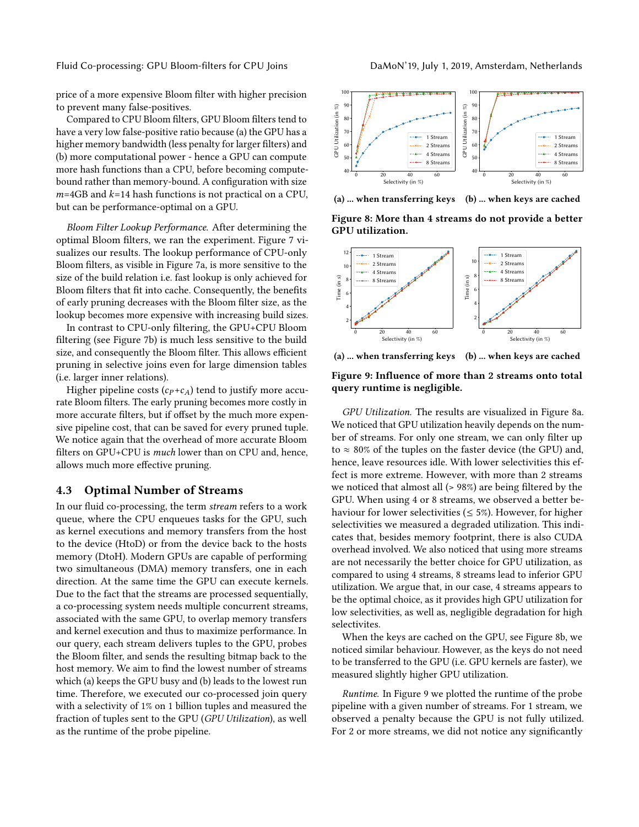price of a more expensive Bloom filter with higher precision to prevent many false-positives.

Compared to CPU Bloom filters, GPU Bloom filters tend to have a very low false-positive ratio because (a) the GPU has a higher memory bandwidth (less penalty for larger filters) and (b) more computational power - hence a GPU can compute more hash functions than a CPU, before becoming computebound rather than memory-bound. A configuration with size  $m=4GB$  and  $k=14$  hash functions is not practical on a CPU, but can be performance-optimal on a GPU.

Bloom Filter Lookup Performance. After determining the optimal Bloom filters, we ran the experiment. Figure [7](#page-5-2) visualizes our results. The lookup performance of CPU-only Bloom filters, as visible in Figure [7a,](#page-5-2) is more sensitive to the size of the build relation i.e. fast lookup is only achieved for Bloom filters that fit into cache. Consequently, the benefits of early pruning decreases with the Bloom filter size, as the lookup becomes more expensive with increasing build sizes.

In contrast to CPU-only filtering, the GPU+CPU Bloom filtering (see Figure [7b\)](#page-5-2) is much less sensitive to the build size, and consequently the Bloom filter. This allows efficient pruning in selective joins even for large dimension tables (i.e. larger inner relations).

Higher pipeline costs  $(c_P+c_A)$  tend to justify more accurate Bloom filters. The early pruning becomes more costly in more accurate filters, but if offset by the much more expensive pipeline cost, that can be saved for every pruned tuple. We notice again that the overhead of more accurate Bloom filters on GPU+CPU is much lower than on CPU and, hence, allows much more effective pruning.

#### 4.3 Optimal Number of Streams

In our fluid co-processing, the term stream refers to a work queue, where the CPU enqueues tasks for the GPU, such as kernel executions and memory transfers from the host to the device (HtoD) or from the device back to the hosts memory (DtoH). Modern GPUs are capable of performing two simultaneous (DMA) memory transfers, one in each direction. At the same time the GPU can execute kernels. Due to the fact that the streams are processed sequentially, a co-processing system needs multiple concurrent streams, associated with the same GPU, to overlap memory transfers and kernel execution and thus to maximize performance. In our query, each stream delivers tuples to the GPU, probes the Bloom filter, and sends the resulting bitmap back to the host memory. We aim to find the lowest number of streams which (a) keeps the GPU busy and (b) leads to the lowest run time. Therefore, we executed our co-processed join query with a selectivity of 1% on 1 billion tuples and measured the fraction of tuples sent to the GPU (GPU Utilization), as well as the runtime of the probe pipeline.

<span id="page-6-0"></span>

(a) ... when transferring keys (b) ... when keys are cached

Figure 8: More than 4 streams do not provide a better GPU utilization.

<span id="page-6-1"></span>

(a) ... when transferring keys (b) ... when keys are cached

#### Figure 9: Influence of more than 2 streams onto total query runtime is negligible.

GPU Utilization. The results are visualized in Figure [8a.](#page-6-0) We noticed that GPU utilization heavily depends on the number of streams. For only one stream, we can only filter up to  $\approx 80\%$  of the tuples on the faster device (the GPU) and, hence, leave resources idle. With lower selectivities this effect is more extreme. However, with more than 2 streams we noticed that almost all (> 98%) are being filtered by the GPU. When using 4 or 8 streams, we observed a better behaviour for lower selectivities ( $\leq$  5%). However, for higher selectivities we measured a degraded utilization. This indicates that, besides memory footprint, there is also CUDA overhead involved. We also noticed that using more streams are not necessarily the better choice for GPU utilization, as compared to using 4 streams, 8 streams lead to inferior GPU utilization. We argue that, in our case, 4 streams appears to be the optimal choice, as it provides high GPU utilization for low selectivities, as well as, negligible degradation for high selectivites.

When the keys are cached on the GPU, see Figure [8b,](#page-6-0) we noticed similar behaviour. However, as the keys do not need to be transferred to the GPU (i.e. GPU kernels are faster), we measured slightly higher GPU utilization.

Runtime. In Figure [9](#page-6-1) we plotted the runtime of the probe pipeline with a given number of streams. For 1 stream, we observed a penalty because the GPU is not fully utilized. For 2 or more streams, we did not notice any significantly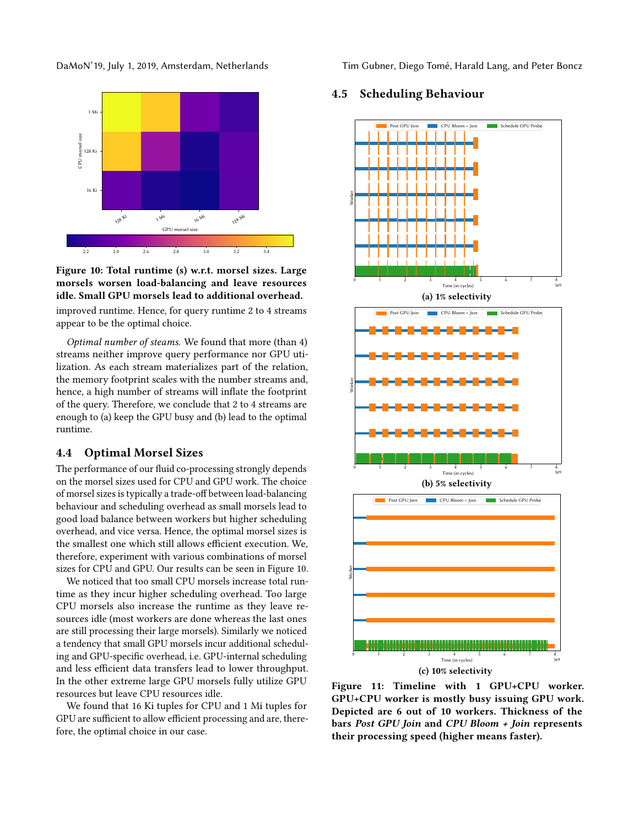<span id="page-7-0"></span>

Figure 10: Total runtime (s) w.r.t. morsel sizes. Large morsels worsen load-balancing and leave resources idle. Small GPU morsels lead to additional overhead. improved runtime. Hence, for query runtime 2 to 4 streams appear to be the optimal choice.

Optimal number of steams. We found that more (than 4) streams neither improve query performance nor GPU utilization. As each stream materializes part of the relation, the memory footprint scales with the number streams and, hence, a high number of streams will inflate the footprint of the query. Therefore, we conclude that 2 to 4 streams are enough to (a) keep the GPU busy and (b) lead to the optimal runtime.

#### 4.4 Optimal Morsel Sizes

The performance of our fluid co-processing strongly depends on the morsel sizes used for CPU and GPU work. The choice of morsel sizes is typically a trade-off between load-balancing behaviour and scheduling overhead as small morsels lead to good load balance between workers but higher scheduling overhead, and vice versa. Hence, the optimal morsel sizes is the smallest one which still allows efficient execution. We, therefore, experiment with various combinations of morsel sizes for CPU and GPU. Our results can be seen in Figure [10.](#page-7-0)

We noticed that too small CPU morsels increase total runtime as they incur higher scheduling overhead. Too large CPU morsels also increase the runtime as they leave resources idle (most workers are done whereas the last ones are still processing their large morsels). Similarly we noticed a tendency that small GPU morsels incur additional scheduling and GPU-specific overhead, i.e. GPU-internal scheduling and less efficient data transfers lead to lower throughput. In the other extreme large GPU morsels fully utilize GPU resources but leave CPU resources idle.

We found that 16 Ki tuples for CPU and 1 Mi tuples for GPU are sufficient to allow efficient processing and are, therefore, the optimal choice in our case.

DaMoN'19, July 1, 2019, Amsterdam, Netherlands Tim Gubner, Diego Tomé, Harald Lang, and Peter Boncz

### 4.5 Scheduling Behaviour

<span id="page-7-1"></span>

Figure 11: Timeline with 1 GPU+CPU worker. GPU+CPU worker is mostly busy issuing GPU work. Depicted are 6 out of 10 workers. Thickness of the bars Post GPU Join and CPU Bloom + Join represents their processing speed (higher means faster).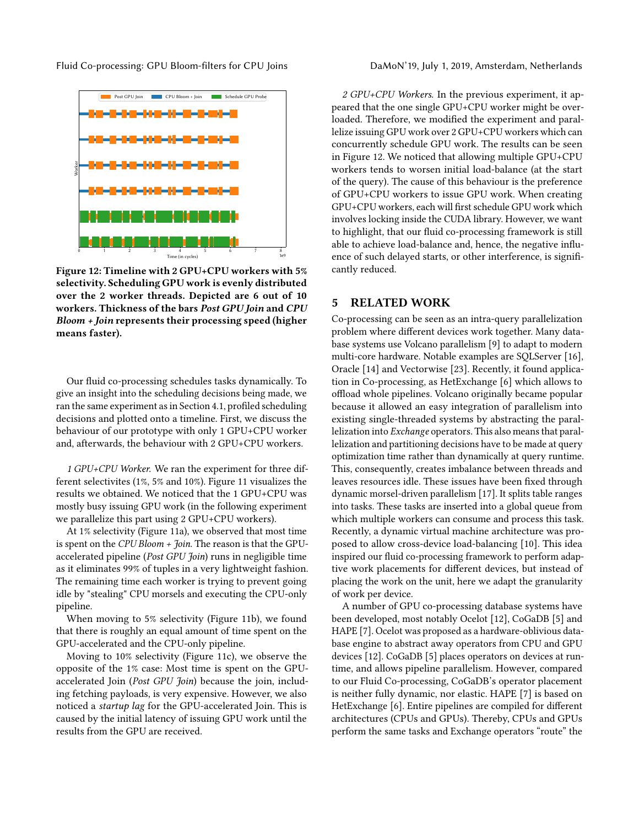Fluid Co-processing: GPU Bloom-filters for CPU Joins DaMoN'19, July 1, 2019, Amsterdam, Netherlands

<span id="page-8-0"></span>

Figure 12: Timeline with 2 GPU+CPU workers with 5% selectivity. Scheduling GPU work is evenly distributed over the 2 worker threads. Depicted are 6 out of 10 workers. Thickness of the bars Post GPU Join and CPU Bloom + Join represents their processing speed (higher means faster).

Our fluid co-processing schedules tasks dynamically. To give an insight into the scheduling decisions being made, we ran the same experiment as in Section [4.1,](#page-4-2) profiled scheduling decisions and plotted onto a timeline. First, we discuss the behaviour of our prototype with only 1 GPU+CPU worker and, afterwards, the behaviour with 2 GPU+CPU workers.

1 GPU+CPU Worker. We ran the experiment for three different selectivites (1%, 5% and 10%). Figure [11](#page-7-1) visualizes the results we obtained. We noticed that the 1 GPU+CPU was mostly busy issuing GPU work (in the following experiment we parallelize this part using 2 GPU+CPU workers).

At 1% selectivity (Figure [11a\)](#page-7-1), we observed that most time is spent on the CPU Bloom + Join. The reason is that the GPUaccelerated pipeline (Post GPU Join) runs in negligible time as it eliminates 99% of tuples in a very lightweight fashion. The remaining time each worker is trying to prevent going idle by "stealing" CPU morsels and executing the CPU-only pipeline.

When moving to 5% selectivity (Figure [11b\)](#page-7-1), we found that there is roughly an equal amount of time spent on the GPU-accelerated and the CPU-only pipeline.

Moving to 10% selectivity (Figure [11c\)](#page-7-1), we observe the opposite of the 1% case: Most time is spent on the GPUaccelerated Join (Post GPU Join) because the join, including fetching payloads, is very expensive. However, we also noticed a startup lag for the GPU-accelerated Join. This is caused by the initial latency of issuing GPU work until the results from the GPU are received.

2 GPU+CPU Workers. In the previous experiment, it appeared that the one single GPU+CPU worker might be overloaded. Therefore, we modified the experiment and parallelize issuing GPU work over 2 GPU+CPU workers which can concurrently schedule GPU work. The results can be seen in Figure [12.](#page-8-0) We noticed that allowing multiple GPU+CPU workers tends to worsen initial load-balance (at the start of the query). The cause of this behaviour is the preference of GPU+CPU workers to issue GPU work. When creating GPU+CPU workers, each will first schedule GPU work which involves locking inside the CUDA library. However, we want to highlight, that our fluid co-processing framework is still able to achieve load-balance and, hence, the negative influence of such delayed starts, or other interference, is significantly reduced.

### 5 RELATED WORK

Co-processing can be seen as an intra-query parallelization problem where different devices work together. Many database systems use Volcano parallelism [\[9\]](#page-9-13) to adapt to modern multi-core hardware. Notable examples are SQLServer [\[16\]](#page-9-17), Oracle [\[14\]](#page-9-18) and Vectorwise [\[23\]](#page-9-3). Recently, it found application in Co-processing, as HetExchange [\[6\]](#page-9-12) which allows to offload whole pipelines. Volcano originally became popular because it allowed an easy integration of parallelism into existing single-threaded systems by abstracting the parallelization into Exchange operators. This also means that parallelization and partitioning decisions have to be made at query optimization time rather than dynamically at query runtime. This, consequently, creates imbalance between threads and leaves resources idle. These issues have been fixed through dynamic morsel-driven parallelism [\[17\]](#page-9-4). It splits table ranges into tasks. These tasks are inserted into a global queue from which multiple workers can consume and process this task. Recently, a dynamic virtual machine architecture was proposed to allow cross-device load-balancing [\[10\]](#page-9-15). This idea inspired our fluid co-processing framework to perform adaptive work placements for different devices, but instead of placing the work on the unit, here we adapt the granularity of work per device.

A number of GPU co-processing database systems have been developed, most notably Ocelot [\[12\]](#page-9-19), CoGaDB [\[5\]](#page-9-10) and HAPE [\[7\]](#page-9-11). Ocelot was proposed as a hardware-oblivious database engine to abstract away operators from CPU and GPU devices [\[12\]](#page-9-19). CoGaDB [\[5\]](#page-9-10) places operators on devices at runtime, and allows pipeline parallelism. However, compared to our Fluid Co-processing, CoGaDB's operator placement is neither fully dynamic, nor elastic. HAPE [\[7\]](#page-9-11) is based on HetExchange [\[6\]](#page-9-12). Entire pipelines are compiled for different architectures (CPUs and GPUs). Thereby, CPUs and GPUs perform the same tasks and Exchange operators "route" the